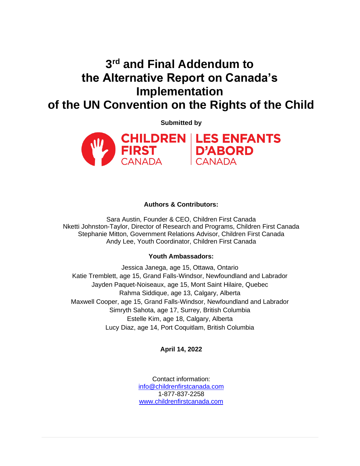# **3 rd and Final Addendum to the Alternative Report on Canada's Implementation of the UN Convention on the Rights of the Child**

**Submitted by** 



## **Authors & Contributors:**

Sara Austin, Founder & CEO, Children First Canada Nketti Johnston-Taylor, Director of Research and Programs, Children First Canada Stephanie Mitton, Government Relations Advisor, Children First Canada Andy Lee, Youth Coordinator, Children First Canada

## **Youth Ambassadors:**

Jessica Janega, age 15, Ottawa, Ontario Katie Tremblett, age 15, Grand Falls-Windsor, Newfoundland and Labrador Jayden Paquet-Noiseaux, age 15, Mont Saint Hilaire, Quebec Rahma Siddique, age 13, Calgary, Alberta Maxwell Cooper, age 15, Grand Falls-Windsor, Newfoundland and Labrador Simryth Sahota, age 17, Surrey, British Columbia Estelle Kim, age 18, Calgary, Alberta Lucy Diaz, age 14, Port Coquitlam, British Columbia

## **April 14, 2022**

Contact information: [info@childrenfirstcanada.com](mailto:info@childrenfirstcanada.com) 1-877-837-2258 [www.childrenfirstcanada.com](http://www.childrenfirstcanada.com/)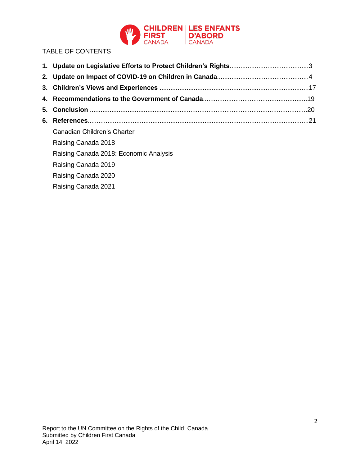

# TABLE OF CONTENTS

| Canadian Children's Charter            |  |
|----------------------------------------|--|
| Raising Canada 2018                    |  |
| Raising Canada 2018: Economic Analysis |  |
| Raising Canada 2019                    |  |
| Raising Canada 2020                    |  |
| Raising Canada 2021                    |  |
|                                        |  |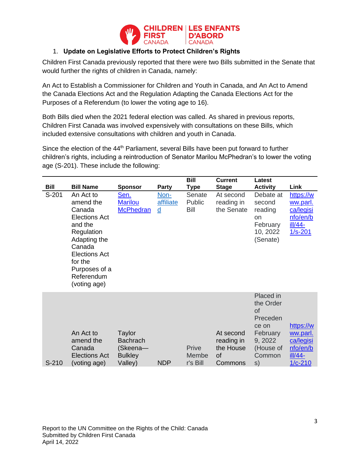

# 1. **Update on Legislative Efforts to Protect Children's Rights**

Children First Canada previously reported that there were two Bills submitted in the Senate that would further the rights of children in Canada, namely:

An Act to Establish a Commissioner for Children and Youth in Canada, and An Act to Amend the Canada Elections Act and the Regulation Adapting the Canada Elections Act for the Purposes of a Referendum (to lower the voting age to 16).

Both Bills died when the 2021 federal election was called. As shared in previous reports, Children First Canada was involved expensively with consultations on these Bills, which included extensive consultations with children and youth in Canada.

Since the election of the 44<sup>th</sup> Parliament, several Bills have been put forward to further children's rights, including a reintroduction of Senator Marilou McPhedran's to lower the voting age (S-201). These include the following:

|         |                                                                                                                                                                                               |                                                                    |                               | Bill                       | <b>Current</b>                                        | Latest                                                                                                |                                                                          |
|---------|-----------------------------------------------------------------------------------------------------------------------------------------------------------------------------------------------|--------------------------------------------------------------------|-------------------------------|----------------------------|-------------------------------------------------------|-------------------------------------------------------------------------------------------------------|--------------------------------------------------------------------------|
| Bill    | <b>Bill Name</b>                                                                                                                                                                              | <b>Sponsor</b>                                                     | Party                         | Type                       | <b>Stage</b>                                          | <b>Activity</b>                                                                                       | Link                                                                     |
| S-201   | An Act to<br>amend the<br>Canada<br><b>Elections Act</b><br>and the<br>Regulation<br>Adapting the<br>Canada<br><b>Elections Act</b><br>for the<br>Purposes of a<br>Referendum<br>(voting age) | Sen.<br><b>Marilou</b><br><b>McPhedran</b>                         | Non-<br>affiliate<br><u>d</u> | Senate<br>Public<br>Bill   | At second<br>reading in<br>the Senate                 | Debate at<br>second<br>reading<br>on<br>February<br>10, 2022<br>(Senate)                              | https://w<br>ww.parl.<br>ca/legisi<br>nfo/en/b<br>ill/44-<br>$1/s - 201$ |
| $S-210$ | An Act to<br>amend the<br>Canada<br><b>Elections Act</b><br>(voting age)                                                                                                                      | Taylor<br><b>Bachrach</b><br>(Skeena-<br><b>Bulkley</b><br>Valley) | <b>NDP</b>                    | Prive<br>Membe<br>r's Bill | At second<br>reading in<br>the House<br>of<br>Commons | Placed in<br>the Order<br>0f<br>Preceden<br>ce on<br>February<br>9, 2022<br>(House of<br>Common<br>s) | https://w<br>ww.parl.<br>ca/legisi<br>nfo/en/b<br>ill/44-<br>1/c-210     |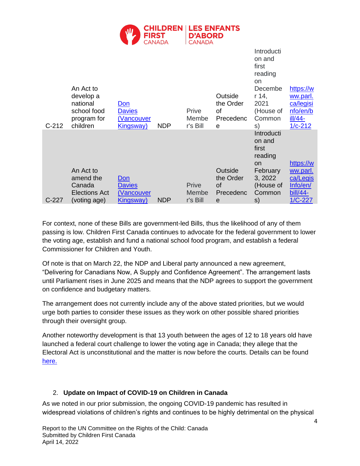

| $C-212$ | An Act to<br>develop a<br>national<br>school food<br>program for<br>children | <u>Don</u><br><b>Davies</b><br><u>(Vancouver</u><br><u>Kingsway)</u> | <b>NDP</b> | Prive<br>Membe<br>r's Bill | Outside<br>the Order<br>of<br>Precedenc<br>e | Introducti<br>on and<br>first<br>reading<br>on<br>Decembe<br>r 14,<br>2021<br>(House of<br>Common<br>S)   | https://w<br>ww.parl.<br>ca/legisi<br>nfo/en/b<br>ill/44-<br>$1/c - 212$    |
|---------|------------------------------------------------------------------------------|----------------------------------------------------------------------|------------|----------------------------|----------------------------------------------|-----------------------------------------------------------------------------------------------------------|-----------------------------------------------------------------------------|
| C-227   | An Act to<br>amend the<br>Canada<br>Elections Act<br>(voting age)            | Don<br><b>Davies</b><br>(Vancouver<br><u>Kingsway)</u>               | <b>NDP</b> | Prive<br>Membe<br>r's Bill | Outside<br>the Order<br>οf<br>Precedenc<br>e | Introducti<br>on and<br>first<br>reading<br><b>on</b><br>February<br>3, 2022<br>(House of<br>Common<br>s) | https://w<br><u>ww.parl.</u><br>ca/Legis<br>Info/en/<br>bill/44-<br>1/C-227 |

For context, none of these Bills are government-led Bills, thus the likelihood of any of them passing is low. Children First Canada continues to advocate for the federal government to lower the voting age, establish and fund a national school food program, and establish a federal Commissioner for Children and Youth.

Of note is that on March 22, the NDP and Liberal party announced a new agreement, "Delivering for Canadians Now, A Supply and Confidence Agreement". The arrangement lasts until Parliament rises in June 2025 and means that the NDP agrees to support the government on confidence and budgetary matters.

The arrangement does not currently include any of the above stated priorities, but we would urge both parties to consider these issues as they work on other possible shared priorities through their oversight group.

Another noteworthy development is that 13 youth between the ages of 12 to 18 years old have launched a federal court challenge to lower the voting age in Canada; they allege that the Electoral Act is unconstitutional and the matter is now before the courts. Details can be found [here.](https://childrenfirstcanada.org/press-releases/young-canadians-file-court-challenge-to-lower-federal-voting-age-calling-it-unconstitutional/#:~:text=Children%20represent%20nearly%20one%20quarter,from%2018%20years%20to%2016.)

# 2. **Update on Impact of COVID-19 on Children in Canada**

As we noted in our prior submission, the ongoing COVID-19 pandemic has resulted in widespread violations of children's rights and continues to be highly detrimental on the physical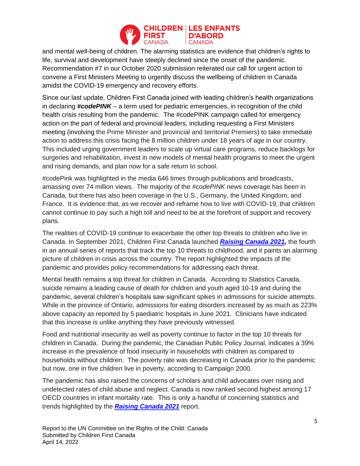

and mental well-being of children. The alarming statistics are evidence that children's rights to life, survival and development have steeply declined since the onset of the pandemic. Recommendation #7 in our October 2020 submission reiterated our call for urgent action to convene a First Ministers Meeting to urgently discuss the wellbeing of children in Canada amidst the COVID-19 emergency and recovery efforts.

Since our last update, Children First Canada joined with leading children's health organizations in declaring *#codePINK* – a term used for pediatric emergencies, in recognition of the child health crisis resulting from the pandemic. The #codePINK campaign called for emergency action on the part of federal and provincial leaders, including requesting a First Ministers meeting (involving the Prime Minister and provincial and territorial Premiers) to take immediate action to address this crisis facing the 8 million children under 18 years of age in our country. This included urging government leaders to scale up virtual care programs, reduce backlogs for surgeries and rehabilitation, invest in new models of mental health programs to meet the urgent and rising demands, and plan now for a safe return to school.

#codePink was highlighted in the media 646 times through publications and broadcasts, amassing over 74 million views. The majority of the *#codePINK* news coverage has been in Canada, but there has also been coverage in the U.S., Germany, the United Kingdom, and France. It is evidence that, as we recover and reframe how to live with COVID-19, that children cannot continue to pay such a high toll and need to be at the forefront of support and recovery plans.

The realities of COVID-19 continue to exacerbate the other top threats to children who live in Canada. In September 2021, Children First Canada launched *[Raising Canada 2021,](https://childrenfirstcanada.org/wp-content/uploads/2021/08/CFC-RC-Report-2021_Final.pdf)* the fourth in an annual series of reports that track the top 10 threats to childhood, and it paints an alarming picture of children in crisis across the country. The report highlighted the impacts of the pandemic and provides policy recommendations for addressing each threat.

Mental health remains a top threat for children in Canada. According to Statistics Canada, suicide remains a leading cause of death for children and youth aged 10-19 and during the pandemic, several children's hospitals saw significant spikes in admissions for suicide attempts. While in the province of Ontario, admissions for eating disorders increased by as much as 223% above capacity as reported by 5 paediatric hospitals in June 2021. Clinicians have indicated that this increase is unlike anything they have previously witnessed.

Food and nutritional insecurity as well as poverty continue to factor in the top 10 threats for children in Canada. During the pandemic, the Canadian Public Policy Journal, indicates a 39% increase in the prevalence of food insecurity in households with children as compared to households without children. The poverty rate was decreasing in Canada prior to the pandemic but now, one in five children live in poverty, according to Campaign 2000.

The pandemic has also raised the concerns of scholars and child advocates over rising and undetected rates of child abuse and neglect. Canada is now ranked second highest among 17 OECD countries in infant mortality rate. This is only a handful of concerning statistics and trends highlighted by the *[Raising Canada 2021](https://childrenfirstcanada.org/wp-content/uploads/2021/08/CFC-RC-Report-2021_Final.pdf)* report.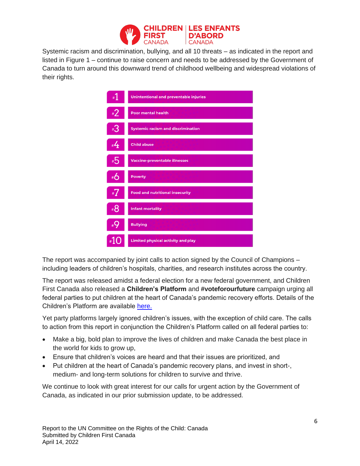

Systemic racism and discrimination, bullying, and all 10 threats – as indicated in the report and listed in Figure 1 – continue to raise concern and needs to be addressed by the Government of Canada to turn around this downward trend of childhood wellbeing and widespread violations of their rights.

| 1#           | <b>Unintentional and preventable injuries</b> |
|--------------|-----------------------------------------------|
| #2           | <b>Poor mental health</b>                     |
| $*3$         | <b>Systemic racism and discrimination</b>     |
| #4           | <b>Child abuse</b>                            |
| #5           | <b>Vaccine-preventable illnesses</b>          |
| #6           | <b>Poverty</b>                                |
| #7           | <b>Food and nutritional insecurity</b>        |
| #8           | <b>Infant mortality</b>                       |
| $_{\rm H}$ Q | <b>Bullying</b>                               |
|              | <b>Limited physical activity and play</b>     |

The report was accompanied by joint calls to action signed by the Council of Champions – including leaders of children's hospitals, charities, and research institutes across the country.

The report was released amidst a federal election for a new federal government, and Children First Canada also released a **Children's Platform** and **#voteforourfuture** campaign urging all federal parties to put children at the heart of Canada's pandemic recovery efforts. Details of the Children's Platform are available [here.](https://childrenfirstcanada.org/campaign/election/)

Yet party platforms largely ignored children's issues, with the exception of child care. The calls to action from this report in conjunction the Children's Platform called on all federal parties to:

- Make a big, bold plan to improve the lives of children and make Canada the best place in the world for kids to grow up,
- Ensure that children's voices are heard and that their issues are prioritized, and
- Put children at the heart of Canada's pandemic recovery plans, and invest in short-, medium- and long-term solutions for children to survive and thrive.

We continue to look with great interest for our calls for urgent action by the Government of Canada, as indicated in our prior submission update, to be addressed.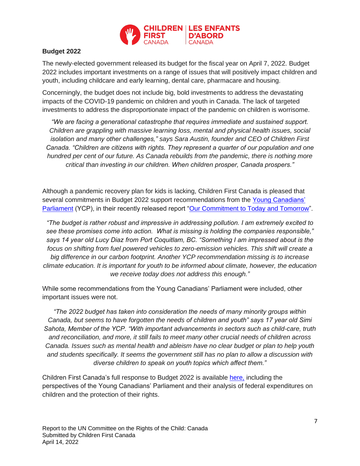

## **Budget 2022**

The newly-elected government released its budget for the fiscal year on April 7, 2022. Budget 2022 includes important investments on a range of issues that will positively impact children and youth, including childcare and early learning, dental care, pharmacare and housing.

Concerningly, the budget does not include big, bold investments to address the devastating impacts of the COVID-19 pandemic on children and youth in Canada. The lack of targeted investments to address the disproportionate impact of the pandemic on children is worrisome.

*"We are facing a generational catastrophe that requires immediate and sustained support. Children are grappling with massive learning loss, mental and physical health issues, social isolation and many other challenges," says Sara Austin, founder and CEO of Children First Canada. "Children are citizens with rights. They represent a quarter of our population and one hundred per cent of our future. As Canada rebuilds from the pandemic, there is nothing more critical than investing in our children. When children prosper, Canada prospers."*

Although a pandemic recovery plan for kids is lacking, Children First Canada is pleased that several commitments in Budget 2022 support recommendations from the [Young Canadians'](https://childrenfirstcanada.org/campaign/young-canadians-parliament/)  [Parliament](https://childrenfirstcanada.org/campaign/young-canadians-parliament/) (YCP), in their recently released report ["Our Commitment to Today and Tomorrow"](https://childrenfirstcanada.org/wp-content/uploads/2022/03/YCP-YouthReportandRecommendations-2022_EN-1.pdf).

*"The budget is rather robust and impressive in addressing pollution. I am extremely excited to see these promises come into action. What is missing is holding the companies responsible," says 14 year old Lucy Diaz from Port Coquitlam, BC. "Something I am impressed about is the focus on shifting from fuel powered vehicles to zero-emission vehicles. This shift will create a big difference in our carbon footprint. Another YCP recommendation missing is to increase climate education. It is important for youth to be informed about climate, however, the education we receive today does not address this enough."* 

While some recommendations from the Young Canadians' Parliament were included, other important issues were not.

*"The 2022 budget has taken into consideration the needs of many minority groups within Canada, but seems to have forgotten the needs of children and youth" says 17 year old Simi Sahota, Member of the YCP. "With important advancements in sectors such as child-care, truth and reconciliation, and more, it still fails to meet many other crucial needs of children across Canada. Issues such as mental health and ableism have no clear budget or plan to help youth and students specifically. It seems the government still has no plan to allow a discussion with diverse children to speak on youth topics which affect them."*

Children First Canada's full response to Budget 2022 is available [here,](https://childrenfirstcanada.org/featured/children-first-canada-responds-to-budget-2022-covid-19-recovery-plan-for-kids-is-missing/) including the perspectives of the Young Canadians' Parliament and their analysis of federal expenditures on children and the protection of their rights.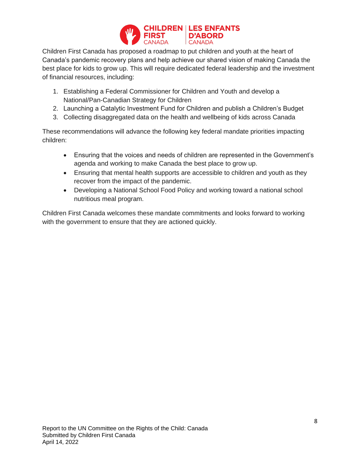

Children First Canada has proposed a roadmap to put children and youth at the heart of Canada's pandemic recovery plans and help achieve our shared vision of making Canada the best place for kids to grow up. This will require dedicated federal leadership and the investment of financial resources, including:

- 1. Establishing a Federal Commissioner for Children and Youth and develop a National/Pan-Canadian Strategy for Children
- 2. Launching a Catalytic Investment Fund for Children and publish a Children's Budget
- 3. Collecting disaggregated data on the health and wellbeing of kids across Canada

These recommendations will advance the following key federal mandate priorities impacting children:

- Ensuring that the voices and needs of children are represented in the Government's agenda and working to make Canada the best place to grow up.
- Ensuring that mental health supports are accessible to children and youth as they recover from the impact of the pandemic.
- Developing a National School Food Policy and working toward a national school nutritious meal program.

Children First Canada welcomes these mandate commitments and looks forward to working with the government to ensure that they are actioned quickly.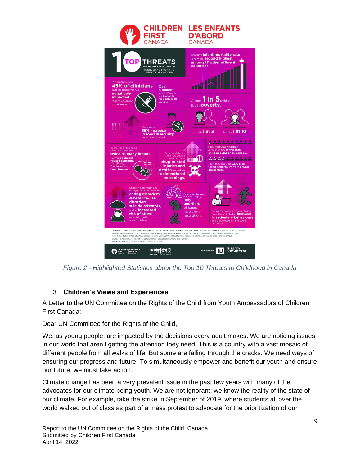

*Figure 2 - Highlighted Statistics about the Top 10 Threats to Childhood in Canada*

# 3. **Children's Views and Experiences**

A Letter to the UN Committee on the Rights of the Child from Youth Ambassadors of Children First Canada:

Dear UN Committee for the Rights of the Child,

We, as young people, are impacted by the decisions every adult makes. We are noticing issues in our world that aren't getting the attention they need. This is a country with a vast mosaic of different people from all walks of life. But some are falling through the cracks. We need ways of ensuring our progress and future. To simultaneously empower and benefit our youth and ensure our future, we must take action.

Climate change has been a very prevalent issue in the past few years with many of the advocates for our climate being youth. We are not ignorant; we know the reality of the state of our climate. For example, take the strike in September of 2019, where students all over the world walked out of class as part of a mass protest to advocate for the prioritization of our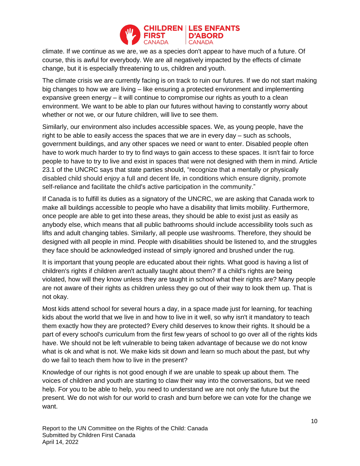

climate. If we continue as we are, we as a species don't appear to have much of a future. Of course, this is awful for everybody. We are all negatively impacted by the effects of climate change, but it is especially threatening to us, children and youth.

The climate crisis we are currently facing is on track to ruin our futures. If we do not start making big changes to how we are living – like ensuring a protected environment and implementing expansive green energy – it will continue to compromise our rights as youth to a clean environment. We want to be able to plan our futures without having to constantly worry about whether or not we, or our future children, will live to see them.

Similarly, our environment also includes accessible spaces. We, as young people, have the right to be able to easily access the spaces that we are in every day – such as schools, government buildings, and any other spaces we need or want to enter. Disabled people often have to work much harder to try to find ways to gain access to these spaces. It isn't fair to force people to have to try to live and exist in spaces that were not designed with them in mind. Article 23.1 of the UNCRC says that state parties should, "recognize that a mentally or physically disabled child should enjoy a full and decent life, in conditions which ensure dignity, promote self-reliance and facilitate the child's active participation in the community."

If Canada is to fulfill its duties as a signatory of the UNCRC, we are asking that Canada work to make all buildings accessible to people who have a disability that limits mobility. Furthermore, once people are able to get into these areas, they should be able to exist just as easily as anybody else, which means that all public bathrooms should include accessibility tools such as lifts and adult changing tables. Similarly, all people use washrooms. Therefore, they should be designed with all people in mind. People with disabilities should be listened to, and the struggles they face should be acknowledged instead of simply ignored and brushed under the rug.

It is important that young people are educated about their rights. What good is having a list of children's rights if children aren't actually taught about them? If a child's rights are being violated, how will they know unless they are taught in school what their rights are? Many people are not aware of their rights as children unless they go out of their way to look them up. That is not okay.

Most kids attend school for several hours a day, in a space made just for learning, for teaching kids about the world that we live in and how to live in it well, so why isn't it mandatory to teach them exactly how they are protected? Every child deserves to know their rights. It should be a part of every school's curriculum from the first few years of school to go over all of the rights kids have. We should not be left vulnerable to being taken advantage of because we do not know what is ok and what is not. We make kids sit down and learn so much about the past, but why do we fail to teach them how to live in the present?

Knowledge of our rights is not good enough if we are unable to speak up about them. The voices of children and youth are starting to claw their way into the conversations, but we need help. For you to be able to help, you need to understand we are not only the future but the present. We do not wish for our world to crash and burn before we can vote for the change we want.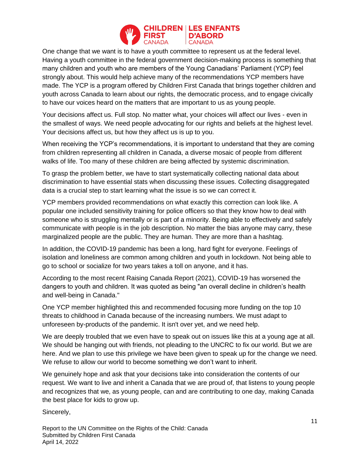

One change that we want is to have a youth committee to represent us at the federal level. Having a youth committee in the federal government decision-making process is something that many children and youth who are members of the Young Canadians' Parliament (YCP) feel strongly about. This would help achieve many of the recommendations YCP members have made. The YCP is a program offered by Children First Canada that brings together children and youth across Canada to learn about our rights, the democratic process, and to engage civically to have our voices heard on the matters that are important to us as young people.

Your decisions affect us. Full stop. No matter what, your choices will affect our lives - even in the smallest of ways. We need people advocating for our rights and beliefs at the highest level. Your decisions affect us, but how they affect us is up to you.

When receiving the YCP's recommendations, it is important to understand that they are coming from children representing all children in Canada, a diverse mosaic of people from different walks of life. Too many of these children are being affected by systemic discrimination.

To grasp the problem better, we have to start systematically collecting national data about discrimination to have essential stats when discussing these issues. Collecting disaggregated data is a crucial step to start learning what the issue is so we can correct it.

YCP members provided recommendations on what exactly this correction can look like. A popular one included sensitivity training for police officers so that they know how to deal with someone who is struggling mentally or is part of a minority. Being able to effectively and safely communicate with people is in the job description. No matter the bias anyone may carry, these marginalized people are the public. They are human. They are more than a hashtag.

In addition, the COVID-19 pandemic has been a long, hard fight for everyone. Feelings of isolation and loneliness are common among children and youth in lockdown. Not being able to go to school or socialize for two years takes a toll on anyone, and it has.

According to the most recent Raising Canada Report (2021), COVID-19 has worsened the dangers to youth and children. It was quoted as being "an overall decline in children's health and well-being in Canada."

One YCP member highlighted this and recommended focusing more funding on the top 10 threats to childhood in Canada because of the increasing numbers. We must adapt to unforeseen by-products of the pandemic. It isn't over yet, and we need help.

We are deeply troubled that we even have to speak out on issues like this at a young age at all. We should be hanging out with friends, not pleading to the UNCRC to fix our world. But we are here. And we plan to use this privilege we have been given to speak up for the change we need. We refuse to allow our world to become something we don't want to inherit.

We genuinely hope and ask that your decisions take into consideration the contents of our request. We want to live and inherit a Canada that we are proud of, that listens to young people and recognizes that we, as young people, can and are contributing to one day, making Canada the best place for kids to grow up.

Sincerely,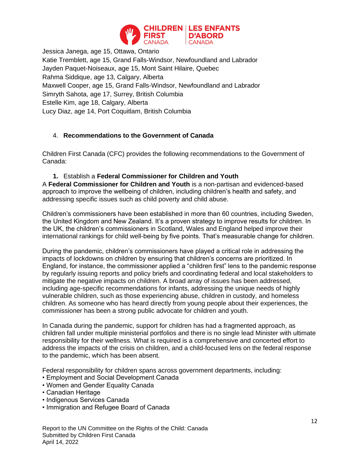

Jessica Janega, age 15, Ottawa, Ontario Katie Tremblett, age 15, Grand Falls-Windsor, Newfoundland and Labrador Jayden Paquet-Noiseaux, age 15, Mont Saint Hilaire, Quebec Rahma Siddique, age 13, Calgary, Alberta Maxwell Cooper, age 15, Grand Falls-Windsor, Newfoundland and Labrador Simryth Sahota, age 17, Surrey, British Columbia Estelle Kim, age 18, Calgary, Alberta Lucy Diaz, age 14, Port Coquitlam, British Columbia

# 4. **Recommendations to the Government of Canada**

Children First Canada (CFC) provides the following recommendations to the Government of Canada:

## **1.** Establish a **Federal Commissioner for Children and Youth**

A **Federal Commissioner for Children and Youth** is a non-partisan and evidenced-based approach to improve the wellbeing of children, including children's health and safety, and addressing specific issues such as child poverty and child abuse.

Children's commissioners have been established in more than 60 countries, including Sweden, the United Kingdom and New Zealand. It's a proven strategy to improve results for children. In the UK, the children's commissioners in Scotland, Wales and England helped improve their international rankings for child well-being by five points. That's measurable change for children.

During the pandemic, children's commissioners have played a critical role in addressing the impacts of lockdowns on children by ensuring that children's concerns are prioritized. In England, for instance, the commissioner applied a "children first" lens to the pandemic response by regularly issuing reports and policy briefs and coordinating federal and local stakeholders to mitigate the negative impacts on children. A broad array of issues has been addressed, including age-specific recommendations for infants, addressing the unique needs of highly vulnerable children, such as those experiencing abuse, children in custody, and homeless children. As someone who has heard directly from young people about their experiences, the commissioner has been a strong public advocate for children and youth.

In Canada during the pandemic, support for children has had a fragmented approach, as children fall under multiple ministerial portfolios and there is no single lead Minister with ultimate responsibility for their wellness. What is required is a comprehensive and concerted effort to address the impacts of the crisis on children, and a child-focused lens on the federal response to the pandemic, which has been absent.

Federal responsibility for children spans across government departments, including:

- Employment and Social Development Canada
- Women and Gender Equality Canada
- Canadian Heritage
- Indigenous Services Canada
- Immigration and Refugee Board of Canada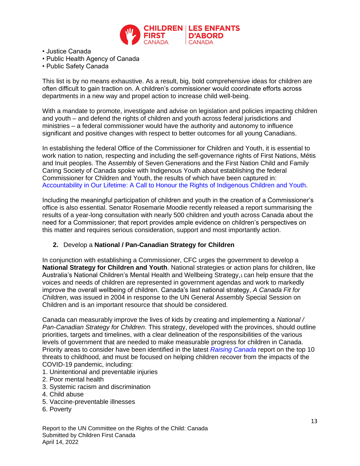

- Justice Canada
- Public Health Agency of Canada
- Public Safety Canada

This list is by no means exhaustive. As a result, big, bold comprehensive ideas for children are often difficult to gain traction on. A children's commissioner would coordinate efforts across departments in a new way and propel action to increase child well-being.

With a mandate to promote, investigate and advise on legislation and policies impacting children and youth – and defend the rights of children and youth across federal jurisdictions and ministries – a federal commissioner would have the authority and autonomy to influence significant and positive changes with respect to better outcomes for all young Canadians.

In establishing the federal Office of the Commissioner for Children and Youth, it is essential to work nation to nation, respecting and including the self-governance rights of First Nations, Métis and Inuit peoples. The Assembly of Seven Generations and the First Nation Child and Family Caring Society of Canada spoke with Indigenous Youth about establishing the federal Commissioner for Children and Youth, the results of which have been captured in: Accountability in Our Lifetime: A Call to Honour the Rights of Indigenous Children and Youth.

Including the meaningful participation of children and youth in the creation of a Commissioner's office is also essential. Senator Rosemarie Moodie recently released a report summarising the results of a year-long consultation with nearly 500 children and youth across Canada about the need for a Commissioner; that report provides ample evidence on children's perspectives on this matter and requires serious consideration, support and most importantly action.

#### **2.** Develop a **National / Pan-Canadian Strategy for Children**

In conjunction with establishing a Commissioner, CFC urges the government to develop a **National Strategy for Children and Youth**. National strategies or action plans for children, like Australia's National Children's Mental Health and Wellbeing Strategy, can help ensure that the voices and needs of children are represented in government agendas and work to markedly improve the overall wellbeing of children. Canada's last national strategy, *A Canada Fit for Children*, was issued in 2004 in response to the UN General Assembly Special Session on Children and is an important resource that should be considered.

Canada can measurably improve the lives of kids by creating and implementing a *National / Pan-Canadian Strategy for Children*. This strategy, developed with the provinces, should outline priorities, targets and timelines, with a clear delineation of the responsibilities of the various levels of government that are needed to make measurable progress for children in Canada. Priority areas to consider have been identified in the latest *Raising Canada* report on the top 10 threats to childhood, and must be focused on helping children recover from the impacts of the COVID-19 pandemic, including:

- 1. Unintentional and preventable injuries
- 2. Poor mental health
- 3. Systemic racism and discrimination
- 4. Child abuse
- 5. Vaccine-preventable illnesses
- 6. Poverty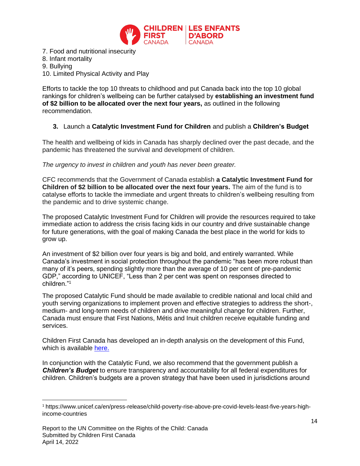

7. Food and nutritional insecurity 8. Infant mortality 9. Bullying 10. Limited Physical Activity and Play

Efforts to tackle the top 10 threats to childhood and put Canada back into the top 10 global rankings for children's wellbeing can be further catalysed by **establishing an investment fund of \$2 billion to be allocated over the next four years,** as outlined in the following recommendation.

## **3.** Launch a **Catalytic Investment Fund for Children** and publish a **Children's Budget**

The health and wellbeing of kids in Canada has sharply declined over the past decade, and the pandemic has threatened the survival and development of children.

*The urgency to invest in children and youth has never been greater.* 

CFC recommends that the Government of Canada establish **a Catalytic Investment Fund for Children of \$2 billion to be allocated over the next four years.** The aim of the fund is to catalyse efforts to tackle the immediate and urgent threats to children's wellbeing resulting from the pandemic and to drive systemic change.

The proposed Catalytic Investment Fund for Children will provide the resources required to take immediate action to address the crisis facing kids in our country and drive sustainable change for future generations, with the goal of making Canada the best place in the world for kids to grow up.

An investment of \$2 billion over four years is big and bold, and entirely warranted. While Canada's investment in social protection throughout the pandemic "has been more robust than many of it's peers, spending slightly more than the average of 10 per cent of pre-pandemic GDP," according to UNICEF, "Less than 2 per cent was spent on responses directed to children<sup>"1</sup>

The proposed Catalytic Fund should be made available to credible national and local child and youth serving organizations to implement proven and effective strategies to address the short-, medium- and long-term needs of children and drive meaningful change for children. Further, Canada must ensure that First Nations, Métis and Inuit children receive equitable funding and services.

Children First Canada has developed an in-depth analysis on the development of this Fund, which is available [here.](https://childrenfirstcanada.org/news-happenings/2022-pre-budget-submissions/)

In conjunction with the Catalytic Fund, we also recommend that the government publish a *Children's Budget* to ensure transparency and accountability for all federal expenditures for children. Children's budgets are a proven strategy that have been used in jurisdictions around

<sup>1</sup> https://www.unicef.ca/en/press-release/child-poverty-rise-above-pre-covid-levels-least-five-years-highincome-countries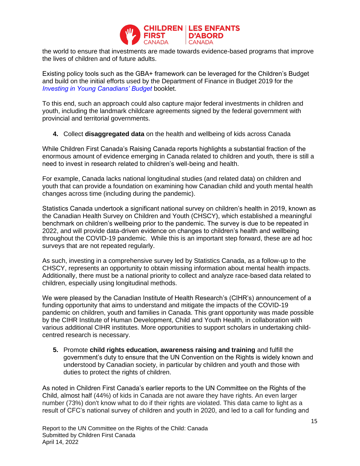

the world to ensure that investments are made towards evidence-based programs that improve the lives of children and of future adults.

Existing policy tools such as the GBA+ framework can be leveraged for the Children's Budget and build on the initial efforts used by the Department of Finance in Budget 2019 for the *Investing in Young Canadians' Budget* booklet.

To this end, such an approach could also capture major federal investments in children and youth, including the landmark childcare agreements signed by the federal government with provincial and territorial governments.

**4.** Collect **disaggregated data** on the health and wellbeing of kids across Canada

While Children First Canada's Raising Canada reports highlights a substantial fraction of the enormous amount of evidence emerging in Canada related to children and youth, there is still a need to invest in research related to children's well-being and health.

For example, Canada lacks national longitudinal studies (and related data) on children and youth that can provide a foundation on examining how Canadian child and youth mental health changes across time (including during the pandemic).

Statistics Canada undertook a significant national survey on children's health in 2019, known as the Canadian Health Survey on Children and Youth (CHSCY), which established a meaningful benchmark on children's wellbeing prior to the pandemic. The survey is due to be repeated in 2022, and will provide data-driven evidence on changes to children's health and wellbeing throughout the COVID-19 pandemic. While this is an important step forward, these are ad hoc surveys that are not repeated regularly.

As such, investing in a comprehensive survey led by Statistics Canada, as a follow-up to the CHSCY, represents an opportunity to obtain missing information about mental health impacts. Additionally, there must be a national priority to collect and analyze race-based data related to children, especially using longitudinal methods.

We were pleased by the Canadian Institute of Health Research's (CIHR's) announcement of a funding opportunity that aims to understand and mitigate the impacts of the COVID-19 pandemic on children, youth and families in Canada. This grant opportunity was made possible by the CIHR Institute of Human Development, Child and Youth Health, in collaboration with various additional CIHR institutes. More opportunities to support scholars in undertaking childcentred research is necessary.

**5.** Promote **child rights education, awareness raising and training** and fulfill the government's duty to ensure that the UN Convention on the Rights is widely known and understood by Canadian society, in particular by children and youth and those with duties to protect the rights of children.

As noted in Children First Canada's earlier reports to the UN Committee on the Rights of the Child, almost half (44%) of kids in Canada are not aware they have rights. An even larger number (73%) don't know what to do if their rights are violated. This data came to light as a result of CFC's national survey of children and youth in 2020, and led to a call for funding and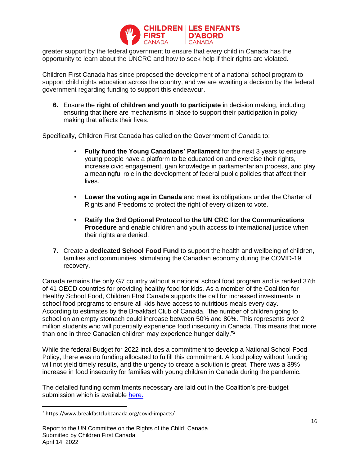

greater support by the federal government to ensure that every child in Canada has the opportunity to learn about the UNCRC and how to seek help if their rights are violated.

Children First Canada has since proposed the development of a national school program to support child rights education across the country, and we are awaiting a decision by the federal government regarding funding to support this endeavour.

**6.** Ensure the **right of children and youth to participate** in decision making, including ensuring that there are mechanisms in place to support their participation in policy making that affects their lives.

Specifically, Children First Canada has called on the Government of Canada to:

- **Fully fund the Young Canadians' Parliament** for the next 3 years to ensure young people have a platform to be educated on and exercise their rights, increase civic engagement, gain knowledge in parliamentarian process, and play a meaningful role in the development of federal public policies that affect their lives.
- **Lower the voting age in Canada** and meet its obligations under the Charter of Rights and Freedoms to protect the right of every citizen to vote.
- **Ratify the 3rd Optional Protocol to the UN CRC for the Communications Procedure** and enable children and youth access to international justice when their rights are denied.
- **7.** Create a **dedicated School Food Fund** to support the health and wellbeing of children, families and communities, stimulating the Canadian economy during the COVID-19 recovery.

Canada remains the only G7 country without a national school food program and is ranked 37th of 41 OECD countries for providing healthy food for kids. As a member of the Coalition for Healthy School Food, Children FIrst Canada supports the call for increased investments in school food programs to ensure all kids have access to nutritious meals every day. According to estimates by the Breakfast Club of Canada, "the number of children going to school on an empty stomach could increase between 50% and 80%. This represents over 2 million students who will potentially experience food insecurity in Canada. This means that more than one in three Canadian children may experience hunger daily."<sup>2</sup>

While the federal Budget for 2022 includes a commitment to develop a National School Food Policy, there was no funding allocated to fulfill this commitment. A food policy without funding will not yield timely results, and the urgency to create a solution is great. There was a 39% increase in food insecurity for families with young children in Canada during the pandemic.

The detailed funding commitments necessary are laid out in the Coalition's pre-budget submission which is available [here.](https://www.healthyschoolfood.ca/nourishkidsnow)

<sup>2</sup> https://www.breakfastclubcanada.org/covid-impacts/